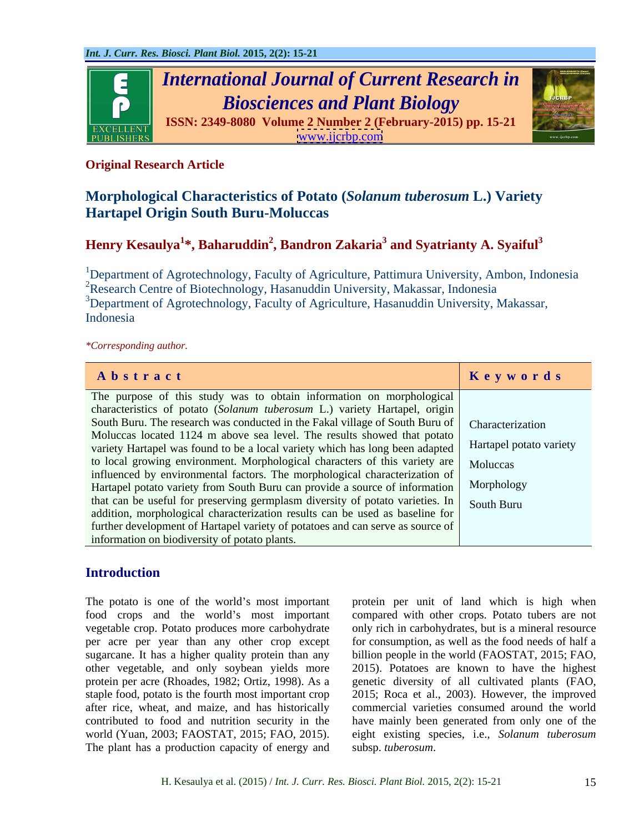

# **Original Research Article**

# **Morphological Characteristics of Potato (***Solanum tuberosum* **L.) Variety Hartapel Origin South Buru-Moluccas**

# **Henry Kesaulya<sup>1</sup> \*, Baharuddin2 , Bandron Zakaria<sup>3</sup> and Syatrianty A. Syaiful<sup>3</sup>**

<sup>1</sup>Department of Agrotechnology, Faculty of Agriculture, Pattimura University, Ambon, Indonesia <sup>2</sup>Research Centre of Biotechnology, Hasanuddin University, Makassar, Indonesia <sup>3</sup>Department of Agrotechnology, Faculty of Agriculture, Hasanuddin University, Makassar, Indonesia

### *\*Corresponding author.*

| Abstract                                                                                               | Keywords |
|--------------------------------------------------------------------------------------------------------|----------|
| The purpose of this study was to obtain information on morphological                                   |          |
| characteristics of potato (Solanum tuberosum L.) variety Hartapel, origin                              |          |
| South Buru. The research was conducted in the Fakal village of South Buru of   Characterization        |          |
| Moluccas located 1124 m above sea level. The results showed that potato                                |          |
| variety Hartapel was found to be a local variety which has long been adapted   Hartapel potato variety |          |
| to local growing environment. Morphological characters of this variety are   Moluccas                  |          |
| influenced by environmental factors. The morphological characterization of                             |          |
| Hartapel potato variety from South Buru can provide a source of information Morphology                 |          |
| that can be useful for preserving germplasm diversity of potato varieties. In South Buru               |          |
| addition, morphological characterization results can be used as baseline for                           |          |
| further development of Hartapel variety of potatoes and can serve as source of                         |          |
| information on biodiversity of potato plants.                                                          |          |

## **Introduction**

The potato is one of the world's most important protein per unit of land which is high when food crops and the world's most important compared with other crops. Potato tubers are not vegetable crop. Potato produces more carbohydrate only rich in carbohydrates, but is a mineral resource per acre per year than any other crop except forconsumption, aswell as the food needs of half a sugarcane. It has a higher quality protein than any billion people in the world (FAOSTAT, 2015; FAO, other vegetable, and only soybean yields more 2015). Potatoes are known to have the highest protein per acre (Rhoades, 1982; Ortiz, 1998). As a genetic diversity of all cultivated plants (FAO, staple food, potato is the fourth most important crop 2015; Roca et al., 2003). However, the improved after rice, wheat, and maize, and has historically contributed to food and nutrition security in the have mainly been generated from only one of the world (Yuan, 2003; FAOSTAT, 2015; FAO, 2015). eight existing species, i.e., *Solanum tuberosum* The plant has a production capacity of energy and

commercial varieties consumed around the world subsp. *tuberosum*.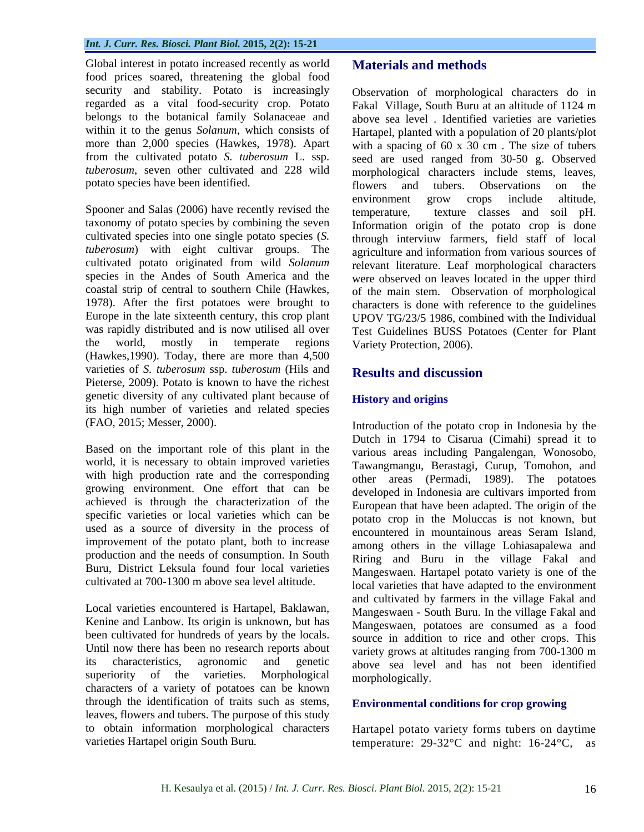Global interest in potato increased recently as world **Materials and methods** food prices soared, threatening the global food security and stability. Potato is increasingly Observation of morphological characters do in regarded as a vital food-security crop. Potato Fakal Village, South Buru at an altitude of 1124 m belongs to the botanical family Solanaceae and above sea level . Identified varieties are varieties within it to the genus *Solanum*, which consists of Hartapel, planted with a population of 20 plants/plot more than 2,000 species (Hawkes, 1978). Apart with a spacing of 60 x  $30 \text{ cm}$ . The size of tubers from the cultivated potato *S. tuberosum* L. ssp. seed are used ranged from 30-50 g. Observed *tuberosum*, seven other cultivated and 228 wild morphological characters include stems, leaves,

Spooner and Salas (2006) have recently revised the temperature, cultivated species into one single potato species (*S. tuberosum*) with eight cultivar groups. The coastal strip of central to southern Chile (Hawkes, (Hawkes,1990). Today, there are more than 4,500 varieties of *S. tuberosum* ssp. *tuberosum* (Hils and **Results and discussion** Pieterse, 2009). Potato is known to have the richest genetic diversity of any cultivated plant because of **History and origins** its high number of varieties and related species

Based on the important role of this plant in the world, it is necessary to obtain improved varieties with high production rate and the corresponding growing environment. One effort that can be achieved is through the characterization of the specific varieties or local varieties which can be used as a source of diversity in the process of improvement of the potato plant, both to increase production and the needs of consumption. In South

Local varieties encountered is Hartapel, Baklawan, Kenine and Lanbow. Its origin is unknown, but has been cultivated for hundreds of years by the locals. Until now there has been no research reports about superiority of the varieties. Morphological characters of a variety of potatoes can be known through the identification of traits such as stems, leaves, flowers and tubers. The purpose of this study to obtain information morphological characters

potato species have been identified. The subset of the same state of the species have been identified. taxonomy of potato species by combining the seven Information origin of the potato crop is done cultivated potato originated from wild *Solanum* relevant literature. Leaf morphological characters species in the Andes of South America and the were observed on leaves located in the upper third 1978). After the first potatoes were brought to characters is done with reference to the guidelines Europe in the late sixteenth century, this crop plant UPOV TG/23/5 1986, combined with the Individual was rapidly distributed and is now utilised all over<br>
Test Guidelines BUSS Potatoes (Center for Plant the world, mostly in temperate regions Variety Protection 2006). Fakal Village, South Buru at an altitude of 1124 m flowers and tubers. Observations on the environment grow crops include altitude, texture classes and soil pH. through interviuw farmers, field staff of local agriculture and information from various sources of of the main stem. Observation of morphological Variety Protection, 2006).

# **Results and discussion**

### **History and origins**

(FAO, 2015; Messer, 2000). Introduction of the potato crop in Indonesia by the Buru, District Leksula found four local varieties Mangeswaen. Hartapel potato variety is one of the cultivated at 700-1300 m above sea level altitude. local varieties that have adapted to the environment its characteristics, agronomic and genetic above sea level and has not been identified Chartapel in the basis in the basis of the constrained controlled in the constrained original in a solid burbon original in the basis of the basis of the basis of the basis of the basis of the basis of the basis of the ba Dutch in 1794 to Cisarua (Cimahi) spread it to various areas including Pangalengan, Wonosobo, Tawangmangu, Berastagi, Curup, Tomohon, and other areas (Permadi, 1989). The potatoes developed in Indonesia are cultivars imported from European that have been adapted. The origin of the potato crop in the Moluccas is not known, but encountered in mountainous areas Seram Island, among others in the village Lohiasapalewa and Riring and Buru in the village Fakal and and cultivated by farmers in the village Fakal and Mangeswaen - South Buru. In the village Fakal and Mangeswaen, potatoes are consumed as a food source in addition to rice and other crops. This variety grows at altitudes ranging from 700-1300 m morphologically.

### **Environmental conditions for crop growing**

Hartapel potato variety forms tubers on daytime temperature:  $29-32$ °C and night:  $16-24$ °C,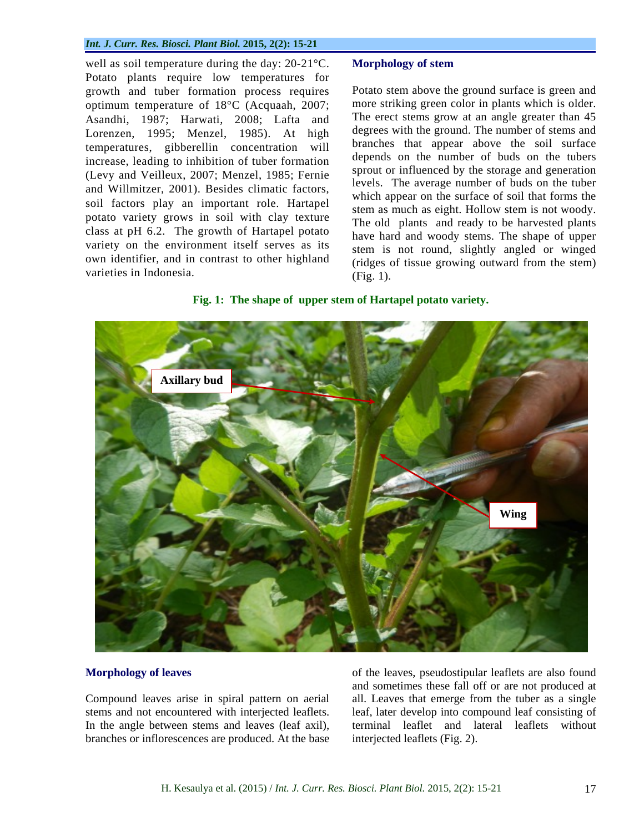### *Int. J. Curr. Res. Biosci. Plant Biol.* **2015, 2(2): 15-21**

well as soil temperature during the day: 20-21°C. Morphology of stem Potato plants require low temperatures for growth and tuber formation process requires optimum temperature of 18°C (Acquaah, 2007; Asandhi, 1987; Harwati, 2008; Lafta and Lorenzen, 1995; Menzel, 1985). At high temperatures, gibberellin concentration will increase, leading to inhibition of tuber formation (Levy and Veilleux, 2007; Menzel, 1985; Fernie and Willmitzer, 2001). Besides climatic factors, soil factors play an important role. Hartapel potato variety grows in soil with clay texture class at pH 6.2. The growth of Hartapel potato variety on the environment itself serves as its own identifier, and in contrast to other highland well as soil temperature during the day: 20-21°C. **Morphology of stem**<br>Potato plants require low temperatures for<br>examples the and a required to the ground surface is green and<br>export and the formation process requires Pot

Potato stem above the ground surface is green and more striking green color in plants which is older. The erect stems grow at an angle greater than 45 degrees with the ground. The number of stems and branches that appear above the soil surface depends on the number of buds on the tubers sprout or influenced by the storage and generation levels. The average number of buds on the tuber which appear on the surface of soil that forms the stem as much as eight. Hollow stem is not woody. The old plants and ready to be harvested plants have hard and woody stems. The shape of upper stem is not round, slightly angled or winged (ridges of tissue growing outward from the stem) (Fig. 1).

### **Fig. 1: The shape of upper stem of Hartapel potato variety.**



**Morphology of leaves of the leaves, pseudostipular leaflets are also found** Compound leaves arise in spiral pattern on aerial all. Leaves that emerge from the tuber as a single stems and not encountered with interjected leaflets. leaf, later develop into compound leaf consisting of In the angle between stems and leaves (leaf axil), terminal leaflet and lateral leaflets without branches or inflorescences are produced. At the base interjected leaflets (Fig. 2). and sometimes these fall off or are not produced at terminal leaflet and lateral leaflets without interjected leaflets (Fig. 2).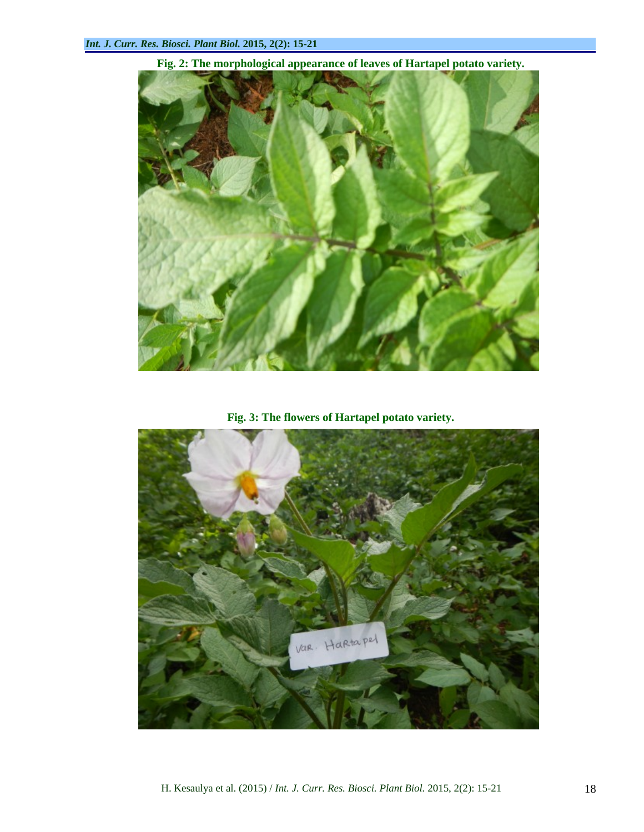

**Fig. 2: The morphological appearance of leaves of Hartapel potato variety.**

**Fig. 3: The flowers of Hartapel potato variety.**

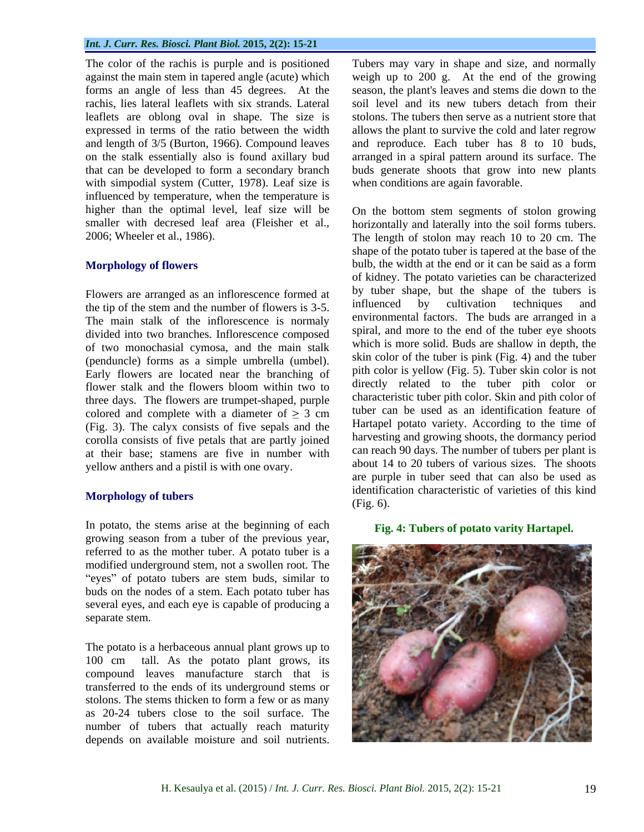rachis, lies lateral leaflets with six strands. Lateral leaflets are oblong oval in shape. The size is with simpodial system (Cutter, 1978). Leaf size is influenced by temperature, when the temperature is higher than the optimal level, leaf size will be On the bottom stem segments of stolon growing smaller with decresed leaf area (Fleisher et al., horizontally and laterally into the soil forms tubers. 2006; Wheeler et al., 1986). The length of stolon may reach 10 to 20 cm. The

Flowers are arranged as an inflorescence formed at by tuber shape, but the shape of the tubers is s<br>the tip of the stem and the number of flowers is  $\frac{3}{5}$  influenced by cultivation techniques and the tip of the stem and the number of flowers is 3-5. The main stalk of the inflorescence is normaly divided into two branches. Inflorescence composed of two monochasial cymosa, and the main stalk (penduncle) forms as a simple umbrella (umbel). Early flowers are located near the branching of flower stalk and the flowers bloom within two to three days. The flowers are trumpet-shaped, purple colored and complete with a diameter of  $\geq 3$  cm (Fig. 3). The calyx consists of five sepals and the corolla consists of five petals that are partly joined at their base; stamens are five in number with yellow anthers and a pistil is with one ovary.

In potato, the stems arise at the beginning of each growing season from a tuber of the previous year, referred to as the mother tuber. A potato tuber is a modified underground stem, not a swollen root. The "eyes" of potato tubers are stem buds, similar to buds on the nodes of a stem. Each potato tuber has several eyes, and each eye is capable of producing a separate stem.

The potato is a herbaceous annual plant grows up to compound leaves manufacture starch that is transferred to the ends of its underground stems or stolons. The stems thicken to form a few or as many as 20-24 tubers close to the soil surface. The number of tubers that actually reach maturity depends on available moisture and soil nutrients.

The color of the rachis is purple and is positioned Tubers may vary in shape and size, and normally against the main stem in tapered angle (acute) which weigh up to 200 g. At the end of the growing forms an angle of less than 45 degrees. At the season, the plant's leaves and stems die down to the expressed in terms of the ratio between the width allows the plant to survive the cold and later regrow and length of 3/5 (Burton, 1966). Compound leaves and reproduce. Each tuber has 8 to 10 buds, on the stalk essentially also is found axillary bud arranged in a spiral pattern around its surface. The that can be developed to form a secondary branch buds generate shoots that grow into new plants soil level and its new tubers detach from their stolons. The tubers then serve as a nutrient store that when conditions are again favorable.

**Morphology of flowers** bulb, the width at the end or it can be said as a form **Morphology of tubers and the contract of the contract of the contract of the contract of the contract of the contract of the contract of the contract of the contract of the contract of the contract of the contract of th** horizontally and laterally into the soil forms tubers. The length of stolon may reach <sup>10</sup> to <sup>20</sup> cm. The shape of the potato tuber is tapered at the base of the of kidney. The potato varieties can be characterized by tuber shape, but the shape of the tubers is influenced by cultivation techniques and environmental factors. The buds are arranged in a spiral, and more to the end of the tuber eye shoots which is more solid. Buds are shallow in depth, the skin color of the tuber is pink (Fig. 4) and the tuber pith color is yellow (Fig. 5). Tuber skin color is not directly related to the tuber pith color or characteristic tuber pith color. Skin and pith color of tuber can be used as an identification feature of Hartapel potato variety. According to the time of harvesting and growing shoots, the dormancy period can reach 90 days. The number of tubers per plant is about 14 to 20 tubers of various sizes. The shoots are purple in tuber seed that can also be used as identification characteristic of varieties of this kind (Fig. 6).

### **Fig. 4: Tubers of potato varity Hartapel.**

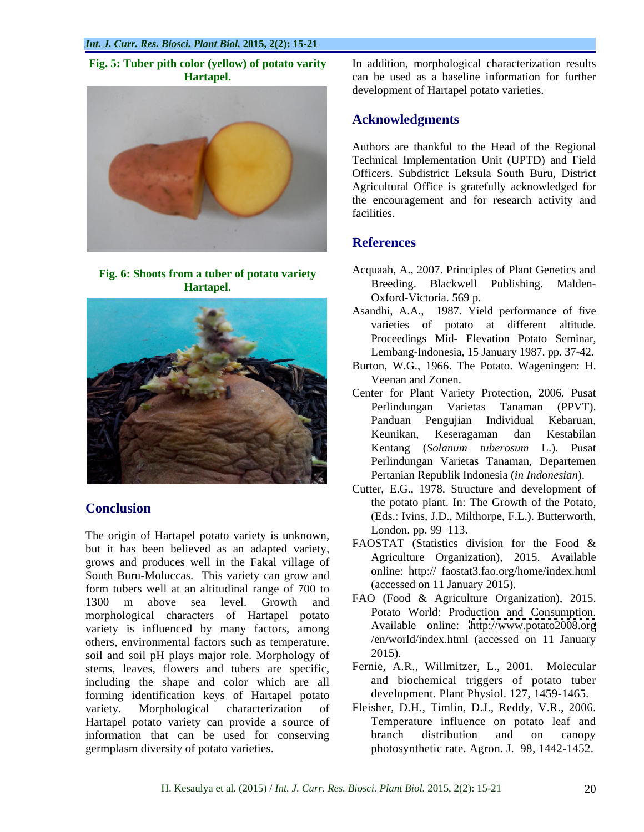

**Fig. 6: Shoots from a tuber of potato variety** 



The origin of Hartapel potato variety is unknown, London. pp. 99–113. but it has been believed as an adapted variety,  $\frac{14031 \text{ A}}{2015}$  (statistics division for the Food  $\alpha$  agriculture organization), 2015. Available South Buru-Moluccas. This variety can grow and form tubers well at an altitudinal range of 700 to 1300 m above sea level. Growth and  $\frac{FAO}{H}$  (Food & Agriculture Organization), 2015. morphological characters of Hartapel potato variety is influenced by many factors, among others, environmental factors such as temperature,  $/$ en/wo soil and soil pH plays major role. Morphology of 2015). soil and soil pH plays major role. Morphology of stems, leaves, flowers and tubers are specific, including the shape and color which are all forming identification keys of Hartapel potato variety. Morphological characterization of Fleisher, D.H., Timlin, D.J., Reddy, V.R., 2006. Hartapel potato variety can provide a source of information that can be used for conserving branch distribution and on canopy

**Fig. 5: Tuber pith color (yellow) of potato varity**  In addition, morphological characterization results **Hartapel.** can be used as a baseline information for further development of Hartapel potato varieties.

# **Acknowledgments**

Authors are thankful to the Head of the Regional Technical Implementation Unit (UPTD) and Field Officers. Subdistrict Leksula South Buru, District Agricultural Office is gratefully acknowledged for the encouragement and for research activity and facilities.

# **References**

- Hartapel. **Blackwell Publishing.** Malden-Acquaah, A., 2007. Principles of Plant Genetics and Oxford-Victoria. 569 p.
	- Asandhi, A.A., 1987. Yield performance of five varieties of potato at different altitude. Proceedings Mid- Elevation Potato Seminar, Lembang-Indonesia, 15 January 1987. pp. 37-42.
	- Burton, W.G., 1966. The Potato. Wageningen: H. Veenan and Zonen.
	- Center for Plant Variety Protection, 2006. Pusat Perlindungan Varietas Tanaman (PPVT). Panduan Pengujian Individual Kebaruan, Keunikan, Keseragaman dan Kestabilan Kentang (*Solanum tuberosum* L.). Pusat Perlindungan Varietas Tanaman, Departemen
- **Conclusion** the polarity and the polarity in the College of the Polarity of the Polarity of the Polarity of the Polarity of the Polarity of the Polarity of the Polarity of the Polarity of the Polarity of the Polarity of t Pertanian Republik Indonesia (*in Indonesian*). Cutter, E.G., 1978. Structure and development of the potato plant. In: The Growth of the Potato, (Eds.: Ivins, J.D., Milthorpe, F.L.). Butterworth, London. pp. 99–113.
	- FAOSTAT (Statistics division for the Food & Agriculture Organization), 2015. Available online: http:// faostat3.fao.org/home/index.html (accessed on 11 January 2015).
	- FAO (Food & Agriculture Organization), 2015. Potato World: Production and Consumption. Available online: <http://www.potato2008.org> /en/world/index.html (accessed on 11 January 2015).
	- Fernie, A.R., Willmitzer, L., 2001. Molecular and biochemical triggers of potato tuber development. Plant Physiol. 127, 1459-1465.
- germplasm diversity of potato varieties. photosynthetic rate. Agron. J. 98, 1442-1452.Temperature influence on potato leaf and branch distribution and on canopy